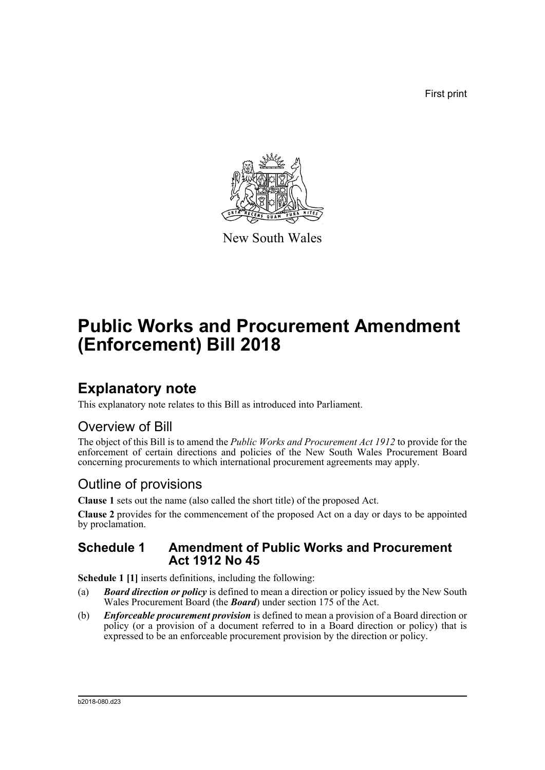First print



New South Wales

# **Public Works and Procurement Amendment (Enforcement) Bill 2018**

## **Explanatory note**

This explanatory note relates to this Bill as introduced into Parliament.

## Overview of Bill

The object of this Bill is to amend the *Public Works and Procurement Act 1912* to provide for the enforcement of certain directions and policies of the New South Wales Procurement Board concerning procurements to which international procurement agreements may apply.

## Outline of provisions

**Clause 1** sets out the name (also called the short title) of the proposed Act.

**Clause 2** provides for the commencement of the proposed Act on a day or days to be appointed by proclamation.

## **Schedule 1 Amendment of Public Works and Procurement Act 1912 No 45**

**Schedule 1 [1]** inserts definitions, including the following:

- (a) *Board direction or policy* is defined to mean a direction or policy issued by the New South Wales Procurement Board (the *Board*) under section 175 of the Act.
- (b) *Enforceable procurement provision* is defined to mean a provision of a Board direction or policy (or a provision of a document referred to in a Board direction or policy) that is expressed to be an enforceable procurement provision by the direction or policy.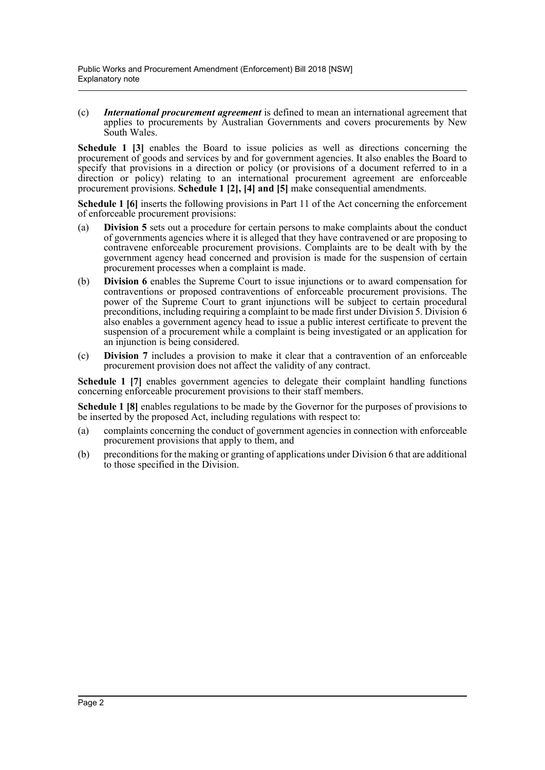(c) *International procurement agreement* is defined to mean an international agreement that applies to procurements by Australian Governments and covers procurements by New South Wales.

**Schedule 1 [3]** enables the Board to issue policies as well as directions concerning the procurement of goods and services by and for government agencies. It also enables the Board to specify that provisions in a direction or policy (or provisions of a document referred to in a direction or policy) relating to an international procurement agreement are enforceable procurement provisions. **Schedule 1 [2], [4] and [5]** make consequential amendments.

**Schedule 1 [6]** inserts the following provisions in Part 11 of the Act concerning the enforcement of enforceable procurement provisions:

- (a) **Division 5** sets out a procedure for certain persons to make complaints about the conduct of governments agencies where it is alleged that they have contravened or are proposing to contravene enforceable procurement provisions. Complaints are to be dealt with by the government agency head concerned and provision is made for the suspension of certain procurement processes when a complaint is made.
- (b) **Division 6** enables the Supreme Court to issue injunctions or to award compensation for contraventions or proposed contraventions of enforceable procurement provisions. The power of the Supreme Court to grant injunctions will be subject to certain procedural preconditions, including requiring a complaint to be made first under Division 5. Division 6 also enables a government agency head to issue a public interest certificate to prevent the suspension of a procurement while a complaint is being investigated or an application for an injunction is being considered.
- (c) **Division 7** includes a provision to make it clear that a contravention of an enforceable procurement provision does not affect the validity of any contract.

**Schedule 1 [7]** enables government agencies to delegate their complaint handling functions concerning enforceable procurement provisions to their staff members.

**Schedule 1 [8]** enables regulations to be made by the Governor for the purposes of provisions to be inserted by the proposed Act, including regulations with respect to:

- (a) complaints concerning the conduct of government agencies in connection with enforceable procurement provisions that apply to them, and
- (b) preconditions for the making or granting of applications under Division 6 that are additional to those specified in the Division.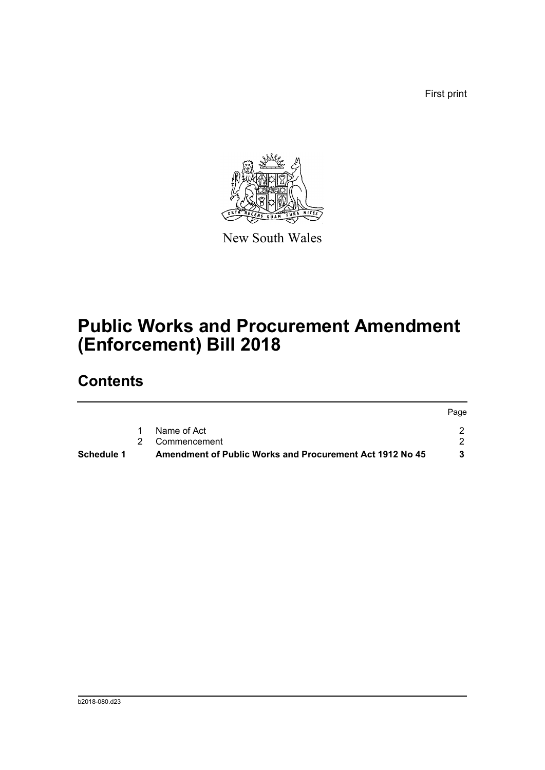First print



New South Wales

# **Public Works and Procurement Amendment (Enforcement) Bill 2018**

## **Contents**

|            |                                                                 | Page |
|------------|-----------------------------------------------------------------|------|
|            | Name of Act                                                     |      |
|            | 2 Commencement                                                  |      |
| Schedule 1 | <b>Amendment of Public Works and Procurement Act 1912 No 45</b> |      |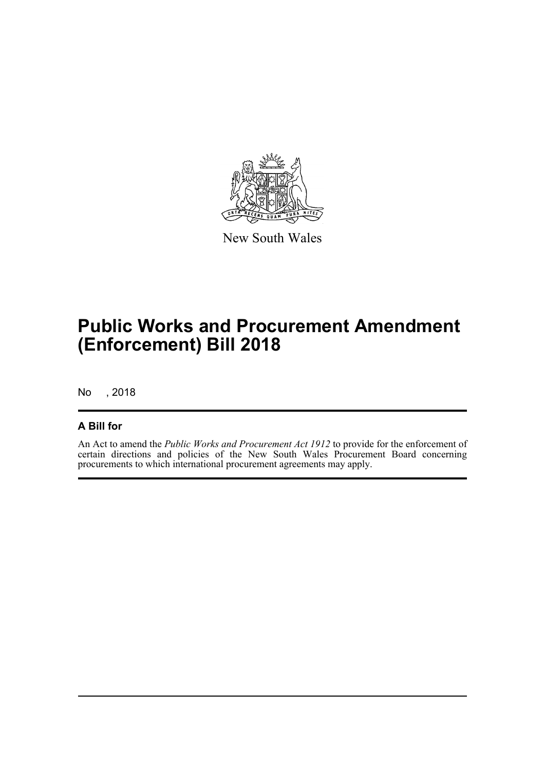

New South Wales

# **Public Works and Procurement Amendment (Enforcement) Bill 2018**

No , 2018

## **A Bill for**

An Act to amend the *Public Works and Procurement Act 1912* to provide for the enforcement of certain directions and policies of the New South Wales Procurement Board concerning procurements to which international procurement agreements may apply.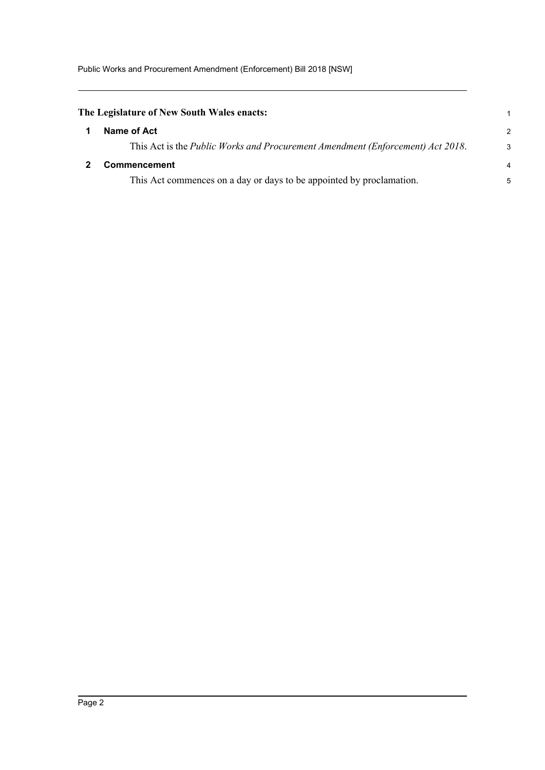<span id="page-4-1"></span><span id="page-4-0"></span>

| The Legislature of New South Wales enacts:                                     |   |  |
|--------------------------------------------------------------------------------|---|--|
| Name of Act                                                                    | 2 |  |
| This Act is the Public Works and Procurement Amendment (Enforcement) Act 2018. | З |  |
| <b>Commencement</b>                                                            |   |  |
| This Act commences on a day or days to be appointed by proclamation.           |   |  |
|                                                                                |   |  |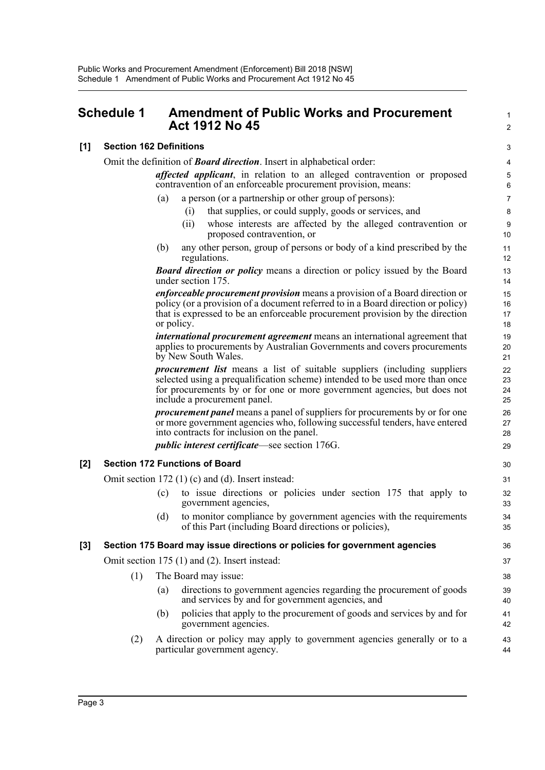## <span id="page-5-0"></span>**Schedule 1 Amendment of Public Works and Procurement Act 1912 No 45** 2

### **[1] Section 162 Definitions** 3

|                  | Omit the definition of <b>Board direction</b> . Insert in alphabetical order: |                      |                    |                                                                                                                                                                                                                                                                             |                      |  |
|------------------|-------------------------------------------------------------------------------|----------------------|--------------------|-----------------------------------------------------------------------------------------------------------------------------------------------------------------------------------------------------------------------------------------------------------------------------|----------------------|--|
|                  |                                                                               |                      |                    | affected applicant, in relation to an alleged contravention or proposed<br>contravention of an enforceable procurement provision, means:                                                                                                                                    | 5<br>6               |  |
|                  |                                                                               | (a)                  |                    | a person (or a partnership or other group of persons):                                                                                                                                                                                                                      | $\overline{7}$       |  |
|                  |                                                                               |                      | (i)                | that supplies, or could supply, goods or services, and                                                                                                                                                                                                                      | 8                    |  |
|                  |                                                                               |                      | (ii)               | whose interests are affected by the alleged contravention or<br>proposed contravention, or                                                                                                                                                                                  | 9<br>10              |  |
|                  |                                                                               | (b)                  |                    | any other person, group of persons or body of a kind prescribed by the<br>regulations.                                                                                                                                                                                      | 11<br>12             |  |
|                  |                                                                               |                      | under section 175. | <b>Board direction or policy</b> means a direction or policy issued by the Board                                                                                                                                                                                            | 13<br>14             |  |
|                  |                                                                               | or policy.           |                    | <i>enforceable procurement provision</i> means a provision of a Board direction or<br>policy (or a provision of a document referred to in a Board direction or policy)<br>that is expressed to be an enforceable procurement provision by the direction                     | 15<br>16<br>17<br>18 |  |
|                  |                                                                               |                      |                    | international procurement agreement means an international agreement that<br>applies to procurements by Australian Governments and covers procurements<br>by New South Wales.                                                                                               | 19<br>20<br>21       |  |
|                  |                                                                               |                      |                    | <i>procurement list</i> means a list of suitable suppliers (including suppliers<br>selected using a prequalification scheme) intended to be used more than once<br>for procurements by or for one or more government agencies, but does not<br>include a procurement panel. | 22<br>23<br>24<br>25 |  |
|                  |                                                                               |                      |                    | <i>procurement panel</i> means a panel of suppliers for procurements by or for one<br>or more government agencies who, following successful tenders, have entered<br>into contracts for inclusion on the panel.                                                             | 26<br>27<br>28       |  |
|                  |                                                                               |                      |                    | <i>public interest certificate</i> —see section 176G.                                                                                                                                                                                                                       | 29                   |  |
| [2]              | <b>Section 172 Functions of Board</b>                                         |                      |                    |                                                                                                                                                                                                                                                                             |                      |  |
|                  | Omit section 172 $(1)$ $(c)$ and $(d)$ . Insert instead:                      |                      |                    |                                                                                                                                                                                                                                                                             |                      |  |
|                  |                                                                               | (c)                  |                    | to issue directions or policies under section 175 that apply to<br>government agencies,                                                                                                                                                                                     | 32<br>33             |  |
|                  |                                                                               | (d)                  |                    | to monitor compliance by government agencies with the requirements<br>of this Part (including Board directions or policies),                                                                                                                                                | 34<br>35             |  |
| $\left[3\right]$ |                                                                               |                      |                    | Section 175 Board may issue directions or policies for government agencies                                                                                                                                                                                                  | 36                   |  |
|                  | Omit section 175 (1) and (2). Insert instead:                                 |                      |                    |                                                                                                                                                                                                                                                                             |                      |  |
|                  | (1)                                                                           | The Board may issue: |                    |                                                                                                                                                                                                                                                                             |                      |  |
|                  |                                                                               | (a)                  |                    | directions to government agencies regarding the procurement of goods<br>and services by and for government agencies, and                                                                                                                                                    | 39<br>40             |  |
|                  |                                                                               | (b)                  |                    | policies that apply to the procurement of goods and services by and for<br>government agencies.                                                                                                                                                                             | 41<br>42             |  |
|                  | (2)                                                                           |                      |                    | A direction or policy may apply to government agencies generally or to a<br>particular government agency.                                                                                                                                                                   | 43<br>44             |  |
|                  |                                                                               |                      |                    |                                                                                                                                                                                                                                                                             |                      |  |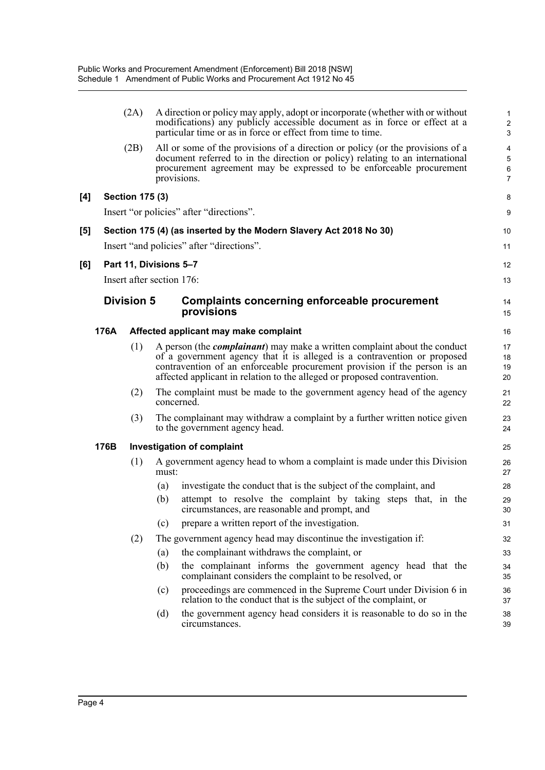|                     |                   | (2A)                      |       | A direction or policy may apply, adopt or incorporate (whether with or without<br>modifications) any publicly accessible document as in force or effect at a<br>particular time or as in force or effect from time to time.                                                                                            | 2<br>G               |  |  |
|---------------------|-------------------|---------------------------|-------|------------------------------------------------------------------------------------------------------------------------------------------------------------------------------------------------------------------------------------------------------------------------------------------------------------------------|----------------------|--|--|
|                     |                   | (2B)                      |       | All or some of the provisions of a direction or policy (or the provisions of a<br>document referred to in the direction or policy) relating to an international<br>procurement agreement may be expressed to be enforceable procurement<br>provisions.                                                                 | 4<br>$\epsilon$<br>7 |  |  |
| [4]                 |                   | <b>Section 175 (3)</b>    |       |                                                                                                                                                                                                                                                                                                                        | ε                    |  |  |
|                     |                   |                           |       | Insert "or policies" after "directions".                                                                                                                                                                                                                                                                               | ς                    |  |  |
| $\lbrack 5 \rbrack$ |                   |                           |       | Section 175 (4) (as inserted by the Modern Slavery Act 2018 No 30)                                                                                                                                                                                                                                                     | 10                   |  |  |
|                     |                   |                           |       | Insert "and policies" after "directions".                                                                                                                                                                                                                                                                              | 11                   |  |  |
| [6]                 |                   | Part 11, Divisions 5-7    |       |                                                                                                                                                                                                                                                                                                                        | 12                   |  |  |
|                     |                   | Insert after section 176: |       |                                                                                                                                                                                                                                                                                                                        | 13                   |  |  |
|                     | <b>Division 5</b> |                           |       | <b>Complaints concerning enforceable procurement</b><br>provisions                                                                                                                                                                                                                                                     |                      |  |  |
|                     | 176A              |                           |       | Affected applicant may make complaint                                                                                                                                                                                                                                                                                  | 16                   |  |  |
|                     |                   | (1)                       |       | A person (the <i>complainant</i> ) may make a written complaint about the conduct<br>of a government agency that it is alleged is a contravention or proposed<br>contravention of an enforceable procurement provision if the person is an<br>affected applicant in relation to the alleged or proposed contravention. | 17<br>18<br>19<br>20 |  |  |
|                     |                   | (2)                       |       | The complaint must be made to the government agency head of the agency<br>concerned.                                                                                                                                                                                                                                   | 21<br>22             |  |  |
|                     |                   | (3)                       |       | The complainant may withdraw a complaint by a further written notice given<br>to the government agency head.                                                                                                                                                                                                           | 23<br>24             |  |  |
|                     | 176B              |                           |       | <b>Investigation of complaint</b>                                                                                                                                                                                                                                                                                      |                      |  |  |
|                     |                   | (1)                       | must: | A government agency head to whom a complaint is made under this Division                                                                                                                                                                                                                                               | 26<br>27             |  |  |
|                     |                   |                           | (a)   | investigate the conduct that is the subject of the complaint, and                                                                                                                                                                                                                                                      | 28                   |  |  |
|                     |                   |                           | (b)   | attempt to resolve the complaint by taking steps that, in the<br>circumstances, are reasonable and prompt, and                                                                                                                                                                                                         | 29<br>3 <sub>C</sub> |  |  |
|                     |                   |                           | (c)   | prepare a written report of the investigation.                                                                                                                                                                                                                                                                         | 31                   |  |  |
|                     |                   | (2)                       |       | The government agency head may discontinue the investigation if:                                                                                                                                                                                                                                                       | 32                   |  |  |
|                     |                   |                           | (a)   | the complainant withdraws the complaint, or                                                                                                                                                                                                                                                                            | 33                   |  |  |
|                     |                   |                           | (b)   | the complainant informs the government agency head that the<br>complainant considers the complaint to be resolved, or                                                                                                                                                                                                  | 34<br>35             |  |  |
|                     |                   |                           | (c)   | proceedings are commenced in the Supreme Court under Division 6 in<br>relation to the conduct that is the subject of the complaint, or                                                                                                                                                                                 | 36<br>37             |  |  |
|                     |                   |                           | (d)   | the government agency head considers it is reasonable to do so in the<br>circumstances.                                                                                                                                                                                                                                | 38<br>39             |  |  |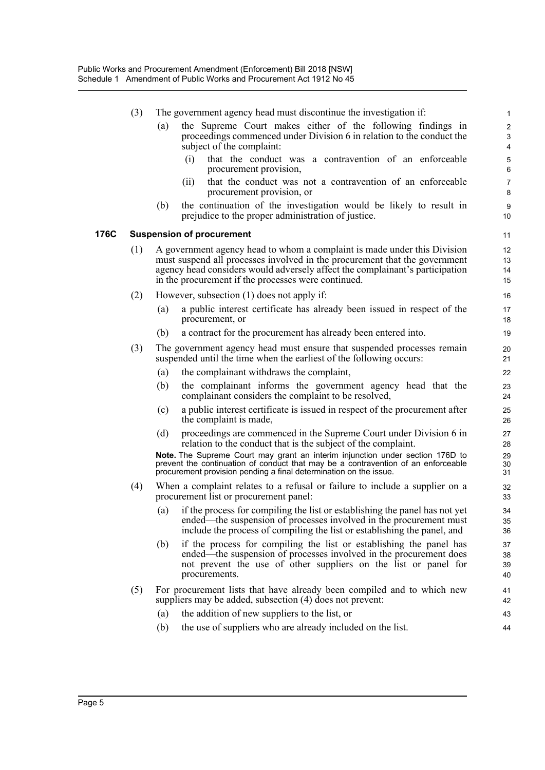|      | (3)                              |                                                                                                                                                                                                                                                                                               | The government agency head must discontinue the investigation if:                                                                                                                                                                       |                      |  |  |  |  |  |
|------|----------------------------------|-----------------------------------------------------------------------------------------------------------------------------------------------------------------------------------------------------------------------------------------------------------------------------------------------|-----------------------------------------------------------------------------------------------------------------------------------------------------------------------------------------------------------------------------------------|----------------------|--|--|--|--|--|
|      |                                  | (a)                                                                                                                                                                                                                                                                                           | the Supreme Court makes either of the following findings in<br>proceedings commenced under Division 6 in relation to the conduct the<br>subject of the complaint:                                                                       | 2<br>G<br>4          |  |  |  |  |  |
|      |                                  |                                                                                                                                                                                                                                                                                               | that the conduct was a contravention of an enforceable<br>(i)<br>procurement provision,                                                                                                                                                 | 5<br>$\epsilon$      |  |  |  |  |  |
|      |                                  |                                                                                                                                                                                                                                                                                               | that the conduct was not a contravention of an enforceable<br>(i)<br>procurement provision, or                                                                                                                                          | 7<br>ε               |  |  |  |  |  |
|      |                                  | (b)                                                                                                                                                                                                                                                                                           | the continuation of the investigation would be likely to result in<br>prejudice to the proper administration of justice.                                                                                                                | ς<br>10              |  |  |  |  |  |
| 176C | <b>Suspension of procurement</b> |                                                                                                                                                                                                                                                                                               |                                                                                                                                                                                                                                         |                      |  |  |  |  |  |
|      | (1)                              | A government agency head to whom a complaint is made under this Division<br>must suspend all processes involved in the procurement that the government<br>agency head considers would adversely affect the complainant's participation<br>in the procurement if the processes were continued. |                                                                                                                                                                                                                                         |                      |  |  |  |  |  |
|      | (2)                              |                                                                                                                                                                                                                                                                                               | However, subsection (1) does not apply if:                                                                                                                                                                                              | 16                   |  |  |  |  |  |
|      |                                  | $\left( a\right)$                                                                                                                                                                                                                                                                             | a public interest certificate has already been issued in respect of the<br>procurement, or                                                                                                                                              | 17<br>18             |  |  |  |  |  |
|      |                                  | (b)                                                                                                                                                                                                                                                                                           | a contract for the procurement has already been entered into.                                                                                                                                                                           | 1 <sup>c</sup>       |  |  |  |  |  |
|      | (3)                              |                                                                                                                                                                                                                                                                                               | The government agency head must ensure that suspended processes remain<br>suspended until the time when the earliest of the following occurs:                                                                                           | 20<br>21             |  |  |  |  |  |
|      |                                  | (a)                                                                                                                                                                                                                                                                                           | the complainant withdraws the complaint,                                                                                                                                                                                                | 22                   |  |  |  |  |  |
|      |                                  | (b)                                                                                                                                                                                                                                                                                           | the complainant informs the government agency head that the<br>complainant considers the complaint to be resolved,                                                                                                                      | 23<br>24             |  |  |  |  |  |
|      |                                  | (c)                                                                                                                                                                                                                                                                                           | a public interest certificate is issued in respect of the procurement after<br>the complaint is made,                                                                                                                                   | 25<br>26             |  |  |  |  |  |
|      |                                  | (d)                                                                                                                                                                                                                                                                                           | proceedings are commenced in the Supreme Court under Division 6 in<br>relation to the conduct that is the subject of the complaint.                                                                                                     | 27<br>28             |  |  |  |  |  |
|      |                                  |                                                                                                                                                                                                                                                                                               | Note. The Supreme Court may grant an interim injunction under section 176D to<br>prevent the continuation of conduct that may be a contravention of an enforceable<br>procurement provision pending a final determination on the issue. | 29<br>30<br>31       |  |  |  |  |  |
|      | (4)                              |                                                                                                                                                                                                                                                                                               | When a complaint relates to a refusal or failure to include a supplier on a<br>procurement list or procurement panel:                                                                                                                   | 32<br>33             |  |  |  |  |  |
|      |                                  |                                                                                                                                                                                                                                                                                               | (a) if the process for compiling the list or establishing the panel has not yet<br>ended—the suspension of processes involved in the procurement must<br>include the process of compiling the list or establishing the panel, and       | 34<br>35<br>36       |  |  |  |  |  |
|      |                                  | (b)                                                                                                                                                                                                                                                                                           | if the process for compiling the list or establishing the panel has<br>ended—the suspension of processes involved in the procurement does<br>not prevent the use of other suppliers on the list or panel for<br>procurements.           | 37<br>38<br>39<br>40 |  |  |  |  |  |
|      | (5)                              |                                                                                                                                                                                                                                                                                               | For procurement lists that have already been compiled and to which new<br>suppliers may be added, subsection (4) does not prevent:                                                                                                      | 41<br>42             |  |  |  |  |  |
|      |                                  | (a)                                                                                                                                                                                                                                                                                           | the addition of new suppliers to the list, or                                                                                                                                                                                           | 43                   |  |  |  |  |  |
|      |                                  | (b)                                                                                                                                                                                                                                                                                           | the use of suppliers who are already included on the list.                                                                                                                                                                              | 44                   |  |  |  |  |  |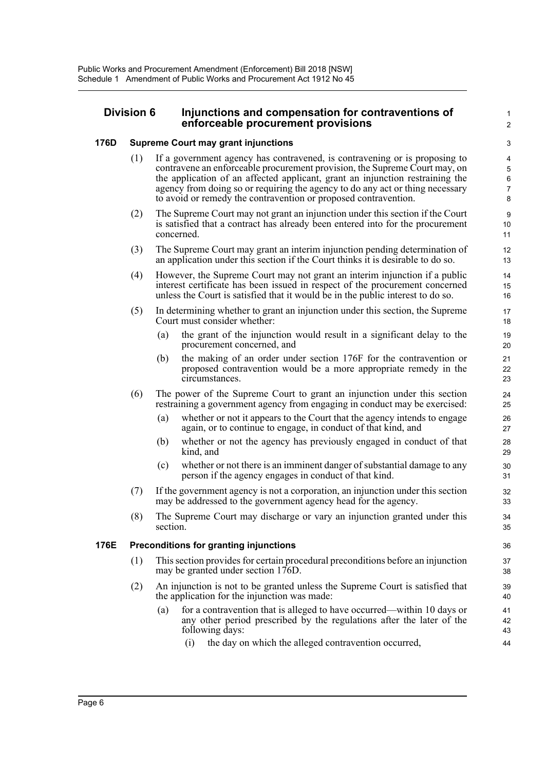### **Division 6 Injunctions and compensation for contraventions of** <sup>1</sup> **enforceable procurement provisions** <sup>2</sup>

### **176D Supreme Court may grant injunctions** 3

- (1) If a government agency has contravened, is contravening or is proposing to 4 contravene an enforceable procurement provision, the Supreme Court may, on 5 the application of an affected applicant, grant an injunction restraining the 6 agency from doing so or requiring the agency to do any act or thing necessary  $\frac{7}{2}$ to avoid or remedy the contravention or proposed contravention. 8
- (2) The Supreme Court may not grant an injunction under this section if the Court 9 is satisfied that a contract has already been entered into for the procurement 10 concerned. 11
- (3) The Supreme Court may grant an interim injunction pending determination of 12 an application under this section if the Court thinks it is desirable to do so. 13
- (4) However, the Supreme Court may not grant an interim injunction if a public 14 interest certificate has been issued in respect of the procurement concerned 15 unless the Court is satisfied that it would be in the public interest to do so. 16
- (5) In determining whether to grant an injunction under this section, the Supreme 17 Court must consider whether: 18
	- (a) the grant of the injunction would result in a significant delay to the 19 procurement concerned, and 20
	- (b) the making of an order under section 176F for the contravention or 21 proposed contravention would be a more appropriate remedy in the 22 circumstances. 23
- (6) The power of the Supreme Court to grant an injunction under this section 24 restraining a government agency from engaging in conduct may be exercised: 25
	- (a) whether or not it appears to the Court that the agency intends to engage 26 again, or to continue to engage, in conduct of that kind, and 27
	- (b) whether or not the agency has previously engaged in conduct of that 28 kind, and 29
	- (c) whether or not there is an imminent danger of substantial damage to any 30 person if the agency engages in conduct of that kind. 31
- (7) If the government agency is not a corporation, an injunction under this section 32 may be addressed to the government agency head for the agency. 33
- (8) The Supreme Court may discharge or vary an injunction granted under this 34 section. 35

### **176E Preconditions for granting injunctions** 36

- (1) This section provides for certain procedural preconditions before an injunction 37 may be granted under section 176D. 38
- (2) An injunction is not to be granted unless the Supreme Court is satisfied that 39 the application for the injunction was made:  $40$ 
	- (a) for a contravention that is alleged to have occurred—within 10 days or 41 any other period prescribed by the regulations after the later of the 42 following days: 43
		- (i) the day on which the alleged contravention occurred, 44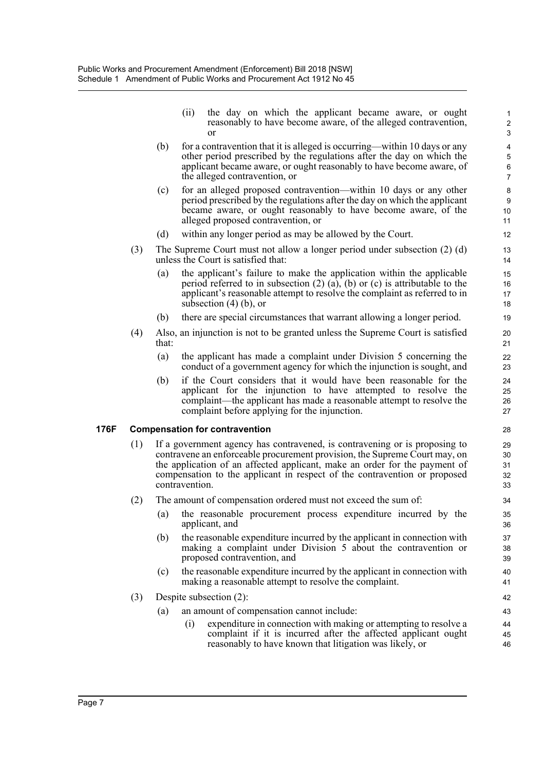- (ii) the day on which the applicant became aware, or ought 1 reasonably to have become aware, of the alleged contravention, 2 or 3
- (b) for a contravention that it is alleged is occurring—within 10 days or any 4 other period prescribed by the regulations after the day on which the  $\frac{5}{5}$ applicant became aware, or ought reasonably to have become aware, of 6 the alleged contravention, or 7
- (c) for an alleged proposed contravention—within 10 days or any other 8 period prescribed by the regulations after the day on which the applicant 9 became aware, or ought reasonably to have become aware, of the 10 alleged proposed contravention, or 11
- (d) within any longer period as may be allowed by the Court.
- (3) The Supreme Court must not allow a longer period under subsection (2) (d) 13 unless the Court is satisfied that: 14
	- (a) the applicant's failure to make the application within the applicable 15 period referred to in subsection  $(2)$   $(a)$ ,  $(b)$  or  $(c)$  is attributable to the 16 applicant's reasonable attempt to resolve the complaint as referred to in 17 subsection  $(4)$  (b), or 18
	- (b) there are special circumstances that warrant allowing a longer period. 19
- (4) Also, an injunction is not to be granted unless the Supreme Court is satisfied 20 that: 21
	- (a) the applicant has made a complaint under Division 5 concerning the 22 conduct of a government agency for which the injunction is sought, and 23
	- (b) if the Court considers that it would have been reasonable for the 24 applicant for the injunction to have attempted to resolve the 25 complaint—the applicant has made a reasonable attempt to resolve the 26 complaint before applying for the injunction. 27

### **176F Compensation for contravention** 28

- (1) If a government agency has contravened, is contravening or is proposing to 29 contravene an enforceable procurement provision, the Supreme Court may, on 30 the application of an affected applicant, make an order for the payment of 31 compensation to the applicant in respect of the contravention or proposed 32 contravention. 33
- (2) The amount of compensation ordered must not exceed the sum of: 34
	- (a) the reasonable procurement process expenditure incurred by the 35 applicant, and 36
	- (b) the reasonable expenditure incurred by the applicant in connection with 37 making a complaint under Division 5 about the contravention or 38 proposed contravention, and 39
	- (c) the reasonable expenditure incurred by the applicant in connection with 40 making a reasonable attempt to resolve the complaint. 41

### (3) Despite subsection (2): 42

- (a) an amount of compensation cannot include: 43
	- (i) expenditure in connection with making or attempting to resolve a 44 complaint if it is incurred after the affected applicant ought 45 reasonably to have known that litigation was likely, or  $46$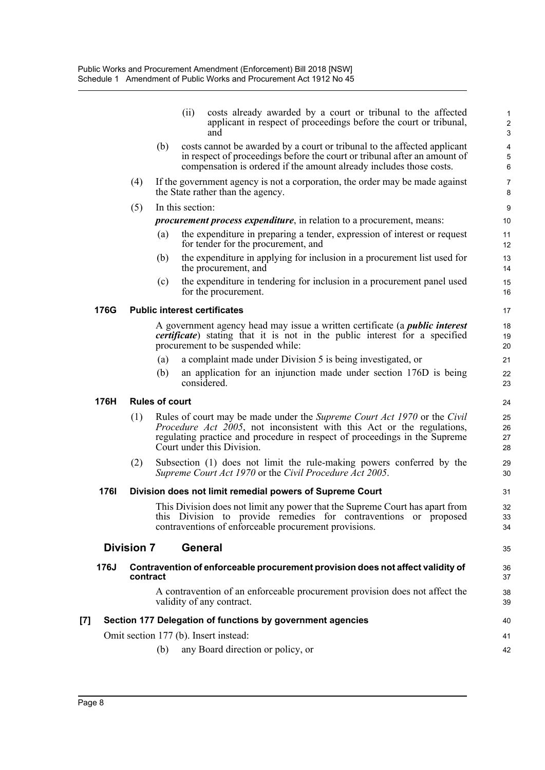|                   |             |                   |                       | (ii)             | costs already awarded by a court or tribunal to the affected<br>applicant in respect of proceedings before the court or tribunal,<br>and                                                                                                                               | 1<br>$\overline{c}$<br>$\sqrt{3}$ |
|-------------------|-------------|-------------------|-----------------------|------------------|------------------------------------------------------------------------------------------------------------------------------------------------------------------------------------------------------------------------------------------------------------------------|-----------------------------------|
|                   |             |                   | (b)                   |                  | costs cannot be awarded by a court or tribunal to the affected applicant<br>in respect of proceedings before the court or tribunal after an amount of<br>compensation is ordered if the amount already includes those costs.                                           | $\overline{\mathbf{4}}$<br>5<br>6 |
|                   |             | (4)               |                       |                  | If the government agency is not a corporation, the order may be made against<br>the State rather than the agency.                                                                                                                                                      | $\overline{7}$<br>8               |
|                   |             | (5)               |                       | In this section: |                                                                                                                                                                                                                                                                        | $\boldsymbol{9}$                  |
|                   |             |                   |                       |                  | <i>procurement process expenditure</i> , in relation to a procurement, means:                                                                                                                                                                                          | 10                                |
|                   |             |                   | (a)                   |                  | the expenditure in preparing a tender, expression of interest or request<br>for tender for the procurement, and                                                                                                                                                        | 11<br>12                          |
|                   |             |                   | (b)                   |                  | the expenditure in applying for inclusion in a procurement list used for<br>the procurement, and                                                                                                                                                                       | 13<br>14                          |
|                   |             |                   | (c)                   |                  | the expenditure in tendering for inclusion in a procurement panel used<br>for the procurement.                                                                                                                                                                         | 15<br>16                          |
|                   | 176G        |                   |                       |                  | <b>Public interest certificates</b>                                                                                                                                                                                                                                    | 17                                |
|                   |             |                   |                       |                  | A government agency head may issue a written certificate (a <i>public interest</i><br><i>certificate</i> ) stating that it is not in the public interest for a specified<br>procurement to be suspended while:                                                         | 18<br>19<br>20                    |
|                   |             |                   | (a)                   |                  | a complaint made under Division 5 is being investigated, or                                                                                                                                                                                                            | 21                                |
|                   |             |                   | (b)                   |                  | an application for an injunction made under section 176D is being<br>considered.                                                                                                                                                                                       | 22<br>23                          |
|                   | 176H        |                   | <b>Rules of court</b> |                  |                                                                                                                                                                                                                                                                        | 24                                |
|                   |             | (1)               |                       |                  | Rules of court may be made under the Supreme Court Act 1970 or the Civil<br><i>Procedure Act 2005</i> , not inconsistent with this Act or the regulations,<br>regulating practice and procedure in respect of proceedings in the Supreme<br>Court under this Division. | 25<br>26<br>27<br>28              |
|                   |             | (2)               |                       |                  | Subsection (1) does not limit the rule-making powers conferred by the<br>Supreme Court Act 1970 or the Civil Procedure Act 2005.                                                                                                                                       | 29<br>30                          |
|                   | <b>1761</b> |                   |                       |                  | Division does not limit remedial powers of Supreme Court                                                                                                                                                                                                               | 31                                |
|                   |             |                   |                       |                  | This Division does not limit any power that the Supreme Court has apart from<br>this Division to provide remedies for contraventions or proposed<br>contraventions of enforceable procurement provisions.                                                              | 32<br>33<br>34                    |
|                   |             | <b>Division 7</b> |                       |                  | <b>General</b>                                                                                                                                                                                                                                                         | 35                                |
|                   | 176J        | contract          |                       |                  | Contravention of enforceable procurement provision does not affect validity of                                                                                                                                                                                         | 36<br>37                          |
|                   |             |                   |                       |                  | A contravention of an enforceable procurement provision does not affect the<br>validity of any contract.                                                                                                                                                               | 38<br>39                          |
| $\left[ 7\right]$ |             |                   |                       |                  | Section 177 Delegation of functions by government agencies                                                                                                                                                                                                             | 40                                |
|                   |             |                   |                       |                  | Omit section 177 (b). Insert instead:                                                                                                                                                                                                                                  | 41                                |
|                   |             |                   | (b)                   |                  | any Board direction or policy, or                                                                                                                                                                                                                                      | 42                                |